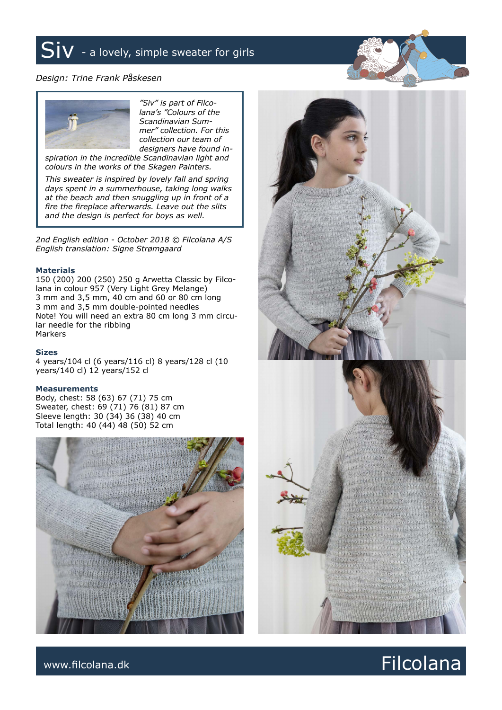## $Siv$  - a lovely, simple sweater for girls

## *Design: Trine Frank Påskesen*



*"Siv" is part of Filcolana's "Colours of the Scandinavian Summer" collection. For this collection our team of designers have found in-*

*spiration in the incredible Scandinavian light and colours in the works of the Skagen Painters.*

*This sweater is inspired by lovely fall and spring days spent in a summerhouse, taking long walks at the beach and then snuggling up in front of a fire the fireplace afterwards. Leave out the slits and the design is perfect for boys as well.*

*2nd English edition - October 2018 © Filcolana A/S English translation: Signe Strømgaard*

#### **Materials**

150 (200) 200 (250) 250 g Arwetta Classic by Filcolana in colour 957 (Very Light Grey Melange) 3 mm and 3,5 mm, 40 cm and 60 or 80 cm long 3 mm and 3,5 mm double-pointed needles Note! You will need an extra 80 cm long 3 mm circular needle for the ribbing Markers

### **Sizes**

4 years/104 cl (6 years/116 cl) 8 years/128 cl (10 years/140 cl) 12 years/152 cl

#### **Measurements**

Body, chest: 58 (63) 67 (71) 75 cm Sweater, chest: 69 (71) 76 (81) 87 cm Sleeve length: 30 (34) 36 (38) 40 cm Total length: 40 (44) 48 (50) 52 cm





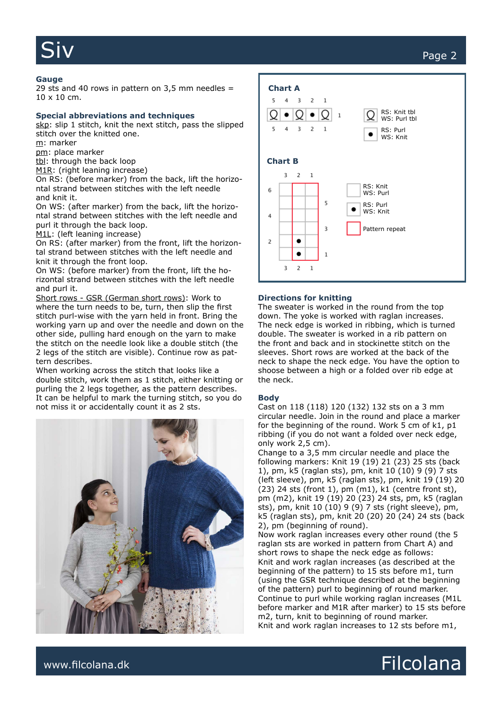#### **Gauge**

29 sts and 40 rows in pattern on  $3,5$  mm needles = 10 x 10 cm.

#### **Special abbreviations and techniques**

skp: slip 1 stitch, knit the next stitch, pass the slipped stitch over the knitted one.

m: marker

pm: place marker

tbl: through the back loop

M1R: (right leaning increase)

On RS: (before marker) from the back, lift the horizontal strand between stitches with the left needle and knit it.

On WS: (after marker) from the back, lift the horizontal strand between stitches with the left needle and purl it through the back loop.

M1L: (left leaning increase)

On RS: (after marker) from the front, lift the horizontal strand between stitches with the left needle and knit it through the front loop.

On WS: (before marker) from the front, lift the horizontal strand between stitches with the left needle and purl it.

Short rows - GSR (German short rows): Work to where the turn needs to be, turn, then slip the first stitch purl-wise with the yarn held in front. Bring the working yarn up and over the needle and down on the other side, pulling hard enough on the yarn to make the stitch on the needle look like a double stitch (the 2 legs of the stitch are visible). Continue row as pattern describes.

When working across the stitch that looks like a double stitch, work them as 1 stitch, either knitting or purling the 2 legs together, as the pattern describes. It can be helpful to mark the turning stitch, so you do not miss it or accidentally count it as 2 sts.





#### **Directions for knitting**

The sweater is worked in the round from the top down. The yoke is worked with raglan increases. The neck edge is worked in ribbing, which is turned double. The sweater is worked in a rib pattern on the front and back and in stockinette stitch on the sleeves. Short rows are worked at the back of the neck to shape the neck edge. You have the option to shoose between a high or a folded over rib edge at the neck.

#### **Body**

Cast on 118 (118) 120 (132) 132 sts on a 3 mm circular needle. Join in the round and place a marker for the beginning of the round. Work 5 cm of k1, p1 ribbing (if you do not want a folded over neck edge, only work 2,5 cm).

Change to a 3,5 mm circular needle and place the following markers: Knit 19 (19) 21 (23) 25 sts (back 1), pm, k5 (raglan sts), pm, knit 10 (10) 9 (9) 7 sts (left sleeve), pm, k5 (raglan sts), pm, knit 19 (19) 20  $(23)$  24 sts (front 1), pm  $(m1)$ , k1 (centre front st), pm (m2), knit 19 (19) 20 (23) 24 sts, pm, k5 (raglan sts), pm, knit 10 (10) 9 (9) 7 sts (right sleeve), pm, k5 (raglan sts), pm, knit 20 (20) 20 (24) 24 sts (back 2), pm (beginning of round).

Now work raglan increases every other round (the 5 raglan sts are worked in pattern from Chart A) and short rows to shape the neck edge as follows: Knit and work raglan increases (as described at the beginning of the pattern) to 15 sts before m1, turn (using the GSR technique described at the beginning of the pattern) purl to beginning of round marker. Continue to purl while working raglan increases (M1L before marker and M1R after marker) to 15 sts before m2, turn, knit to beginning of round marker. Knit and work raglan increases to 12 sts before m1,